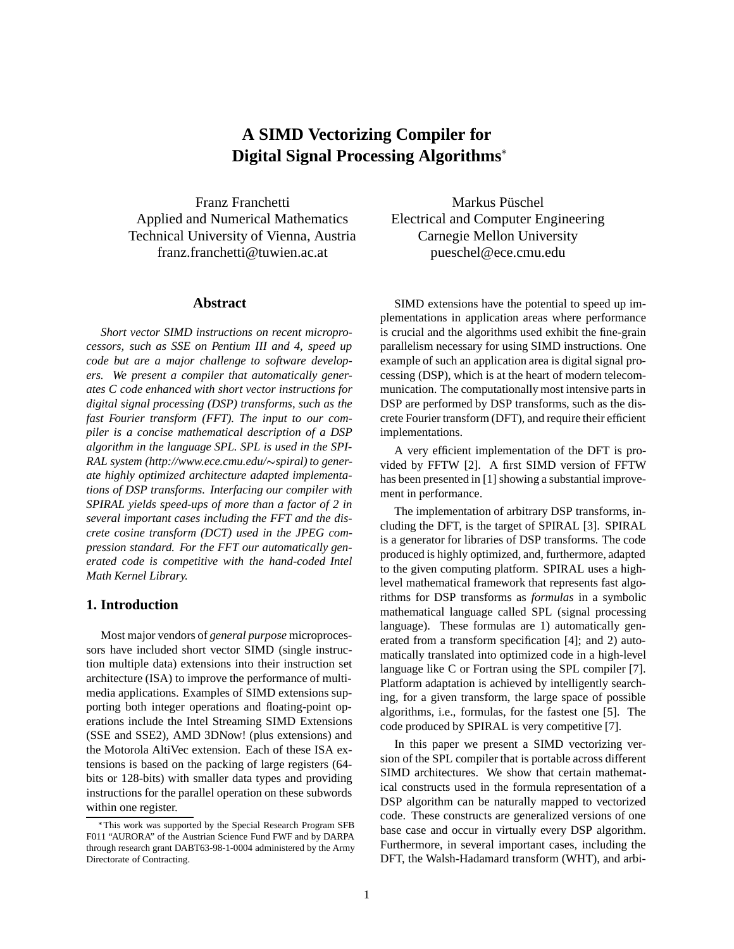# **A SIMD Vectorizing Compiler for Digital Signal Processing Algorithms**

Franz Franchetti Applied and Numerical Mathematics Technical University of Vienna, Austria franz.franchetti@tuwien.ac.at

#### **Abstract**

*Short vector SIMD instructions on recent microprocessors, such as SSE on Pentium III and 4, speed up code but are a major challenge to software developers. We present a compiler that automatically generates C code enhanced with short vector instructions for digital signal processing (DSP) transforms, such as the fast Fourier transform (FFT). The input to our compiler is a concise mathematical description of a DSP algorithm in the language SPL. SPL is used in the SPI-RAL system (http://www.ece.cmu.edu/*-*spiral) to generate highly optimized architecture adapted implementations of DSP transforms. Interfacing our compiler with SPIRAL yields speed-ups of more than a factor of 2 in several important cases including the FFT and the discrete cosine transform (DCT) used in the JPEG compression standard. For the FFT our automatically generated code is competitive with the hand-coded Intel Math Kernel Library.*

### **1. Introduction**

Most major vendors of *general purpose* microprocessors have included short vector SIMD (single instruction multiple data) extensions into their instruction set architecture (ISA) to improve the performance of multimedia applications. Examples of SIMD extensions supporting both integer operations and floating-point operations include the Intel Streaming SIMD Extensions (SSE and SSE2), AMD 3DNow! (plus extensions) and the Motorola AltiVec extension. Each of these ISA extensions is based on the packing of large registers (64 bits or 128-bits) with smaller data types and providing instructions for the parallel operation on these subwords within one register.

Markus Püschel Electrical and Computer Engineering Carnegie Mellon University pueschel@ece.cmu.edu

SIMD extensions have the potential to speed up implementations in application areas where performance is crucial and the algorithms used exhibit the fine-grain parallelism necessary for using SIMD instructions. One example of such an application area is digital signal processing (DSP), which is at the heart of modern telecommunication. The computationally most intensive parts in DSP are performed by DSP transforms, such as the discrete Fourier transform (DFT), and require their efficient implementations.

A very efficient implementation of the DFT is provided by FFTW [2]. A first SIMD version of FFTW has been presented in [1] showing a substantial improvement in performance.

The implementation of arbitrary DSP transforms, including the DFT, is the target of SPIRAL [3]. SPIRAL is a generator for libraries of DSP transforms. The code produced is highly optimized, and, furthermore, adapted to the given computing platform. SPIRAL uses a highlevel mathematical framework that represents fast algorithms for DSP transforms as *formulas* in a symbolic mathematical language called SPL (signal processing language). These formulas are 1) automatically generated from a transform specification [4]; and 2) automatically translated into optimized code in a high-level language like C or Fortran using the SPL compiler [7]. Platform adaptation is achieved by intelligently searching, for a given transform, the large space of possible algorithms, i.e., formulas, for the fastest one [5]. The code produced by SPIRAL is very competitive [7].

In this paper we present a SIMD vectorizing version of the SPL compiler that is portable across different SIMD architectures. We show that certain mathematical constructs used in the formula representation of a DSP algorithm can be naturally mapped to vectorized code. These constructs are generalized versions of one base case and occur in virtually every DSP algorithm. Furthermore, in several important cases, including the DFT, the Walsh-Hadamard transform (WHT), and arbi-

This work was supported by the Special Research Program SFB F011 "AURORA" of the Austrian Science Fund FWF and by DARPA through research grant DABT63-98-1-0004 administered by the Army Directorate of Contracting.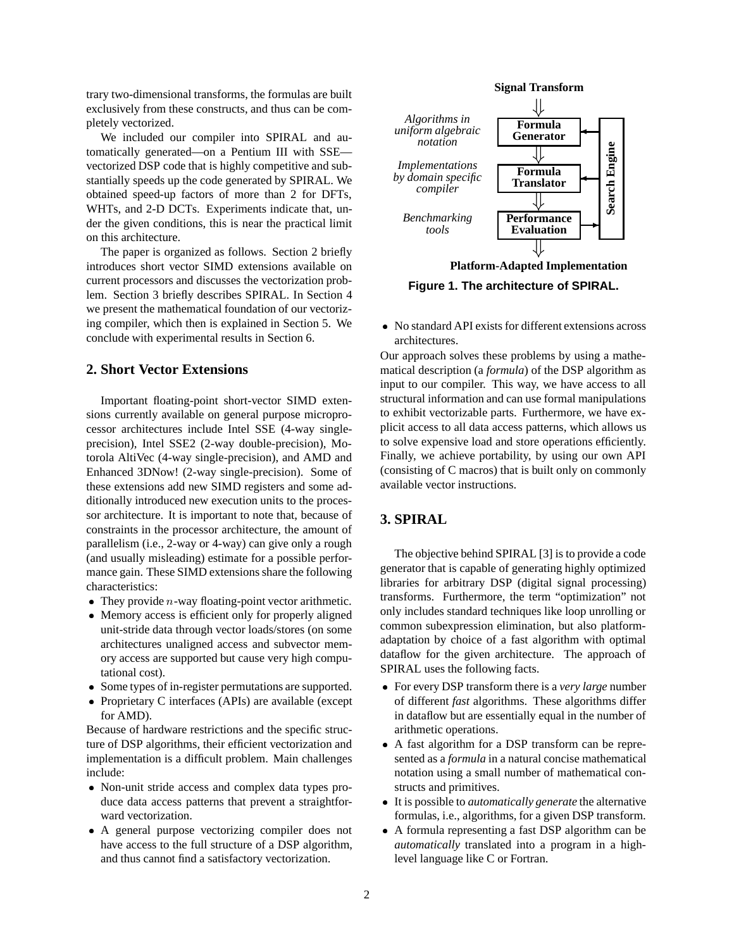trary two-dimensional transforms, the formulas are built exclusively from these constructs, and thus can be completely vectorized.

We included our compiler into SPIRAL and automatically generated—on a Pentium III with SSE vectorized DSP code that is highly competitive and substantially speeds up the code generated by SPIRAL. We obtained speed-up factors of more than 2 for DFTs, WHTs, and 2-D DCTs. Experiments indicate that, under the given conditions, this is near the practical limit on this architecture.

The paper is organized as follows. Section 2 briefly introduces short vector SIMD extensions available on current processors and discusses the vectorization problem. Section 3 briefly describes SPIRAL. In Section 4 we present the mathematical foundation of our vectorizing compiler, which then is explained in Section 5. We conclude with experimental results in Section 6.

# **2. Short Vector Extensions**

Important floating-point short-vector SIMD extensions currently available on general purpose microprocessor architectures include Intel SSE (4-way singleprecision), Intel SSE2 (2-way double-precision), Motorola AltiVec (4-way single-precision), and AMD and Enhanced 3DNow! (2-way single-precision). Some of these extensions add new SIMD registers and some additionally introduced new execution units to the processor architecture. It is important to note that, because of constraints in the processor architecture, the amount of parallelism (i.e., 2-way or 4-way) can give only a rough (and usually misleading) estimate for a possible performance gain. These SIMD extensions share the following characteristics:

- They provide  $n$ -way floating-point vector arithmetic.
- Memory access is efficient only for properly aligned unit-stride data through vector loads/stores (on some architectures unaligned access and subvector memory access are supported but cause very high computational cost).
- Some types of in-register permutations are supported.
- Proprietary C interfaces (APIs) are available (except for AMD).

Because of hardware restrictions and the specific structure of DSP algorithms, their efficient vectorization and implementation is a difficult problem. Main challenges include:

- Non-unit stride access and complex data types produce data access patterns that prevent a straightforward vectorization.
- A general purpose vectorizing compiler does not have access to the full structure of a DSP algorithm, and thus cannot find a satisfactory vectorization.



**Platform-Adapted Implementation**

**Figure 1. The architecture of SPIRAL.**

• No standard API exists for different extensions across architectures.

Our approach solves these problems by using a mathematical description (a *formula*) of the DSP algorithm as input to our compiler. This way, we have access to all structural information and can use formal manipulations to exhibit vectorizable parts. Furthermore, we have explicit access to all data access patterns, which allows us to solve expensive load and store operations efficiently. Finally, we achieve portability, by using our own API (consisting of C macros) that is built only on commonly available vector instructions.

# **3. SPIRAL**

The objective behind SPIRAL [3] is to provide a code generator that is capable of generating highly optimized libraries for arbitrary DSP (digital signal processing) transforms. Furthermore, the term "optimization" not only includes standard techniques like loop unrolling or common subexpression elimination, but also platformadaptation by choice of a fast algorithm with optimal dataflow for the given architecture. The approach of SPIRAL uses the following facts.

- For every DSP transform there is a *very large* number of different *fast* algorithms. These algorithms differ in dataflow but are essentially equal in the number of arithmetic operations.
- A fast algorithm for a DSP transform can be represented as a *formula* in a natural concise mathematical notation using a small number of mathematical constructs and primitives.
- It is possible to *automatically generate* the alternative formulas, i.e., algorithms, for a given DSP transform.
- A formula representing a fast DSP algorithm can be *automatically* translated into a program in a highlevel language like C or Fortran.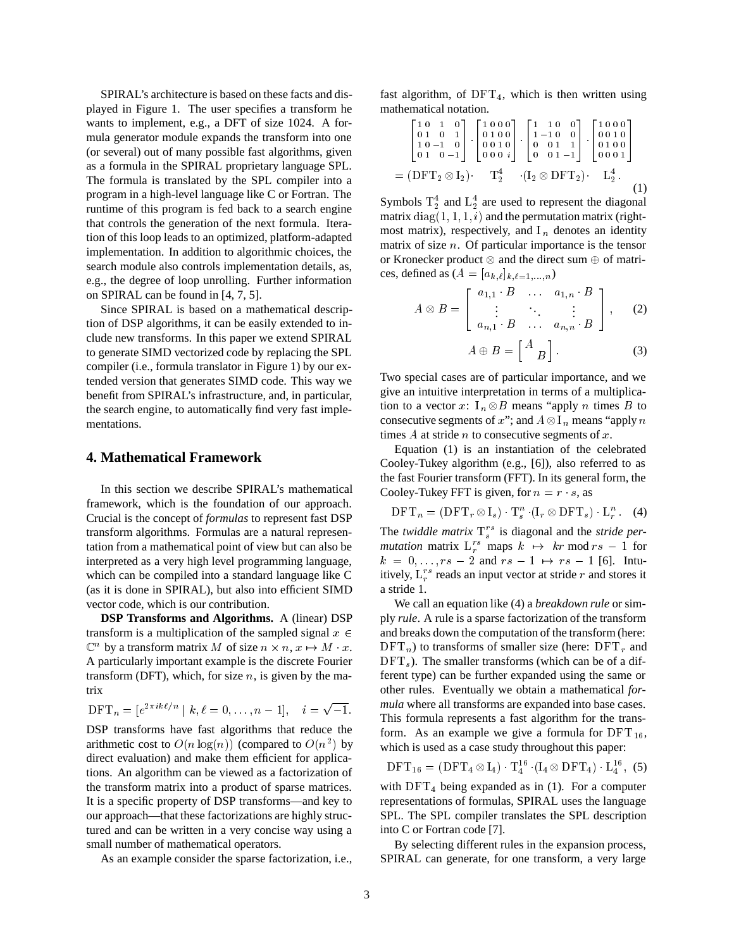SPIRAL's architecture is based on these facts and displayed in Figure 1. The user specifies a transform he wants to implement, e.g., a DFT of size 1024. A formula generator module expands the transform into one (or several) out of many possible fast algorithms, given as a formula in the SPIRAL proprietary language SPL. The formula is translated by the SPL compiler into a program in a high-level language like C or Fortran. The runtime of this program is fed back to a search engine that controls the generation of the next formula. Iteration of this loop leads to an optimized, platform-adapted implementation. In addition to algorithmic choices, the search module also controls implementation details, as, e.g., the degree of loop unrolling. Further information on SPIRAL can be found in [4, 7, 5].

Since SPIRAL is based on a mathematical description of DSP algorithms, it can be easily extended to include new transforms. In this paper we extend SPIRAL to generate SIMD vectorized code by replacing the SPL compiler (i.e., formula translator in Figure 1) by our extended version that generates SIMD code. This way we benefit from SPIRAL's infrastructure, and, in particular, the search engine, to automatically find very fast implementations.

### **4. Mathematical Framework**

In this section we describe SPIRAL's mathematical framework, which is the foundation of our approach. Crucial is the concept of *formulas* to represent fast DSP transform algorithms. Formulas are a natural representation from a mathematical point of view but can also be interpreted as a very high level programming language, which can be compiled into a standard language like C (as it is done in SPIRAL), but also into efficient SIMD vector code, which is our contribution.

**DSP Transforms and Algorithms.** A (linear) DSP transform is a multiplication of the sampled signal  $x \in$  $\mathbb{C}^n$  by a transform matrix M of size  $n \times n$ ,  $x \mapsto M \cdot x$ . DFT<sub>n</sub>) A particularly important example is the discrete Fourier transform (DFT), which, for size  $n$ , is given by the matrix

$$
\text{DFT}_n = [e^{2\pi i k\ell/n} \mid k, \ell = 0, \dots, n-1], \quad i = \sqrt{-1}.
$$

DSP transforms have fast algorithms that reduce the arithmetic cost to  $O(n \log(n))$  (compared to  $O(n^2)$  by direct evaluation) and make them efficient for applications. An algorithm can be viewed as a factorization of the transform matrix into a product of sparse matrices. It is a specific property of DSP transforms—and key to our approach—that these factorizations are highly structured and can be written in a very concise way using a small number of mathematical operators.

As an example consider the sparse factorization, i.e.,

fast algorithm, of  $DFT_4$ , which is then written using mathematical notation.

$$
= (\text{DFT}_2 \otimes I_2) \cdot \quad T_2^4 \quad (I_2 \otimes \text{DFT}_2) \quad (1)
$$
\n
$$
(1)
$$
\n
$$
= (\text{DFT}_2 \otimes I_2) \cdot \quad T_2^4 \quad (I_2 \otimes \text{DFT}_2) \cdot \quad L_2^4 \quad (1)
$$
\n
$$
(1)
$$

Symbols  $T_2^4$  and  $L_2^4$  are used to represent the diagonal matrix  $diag(1, 1, 1, i)$  and the permutation matrix (rightmost matrix), respectively, and  $I_n$  denotes an identity matrix of size  $n$ . Of particular importance is the tensor or Kronecker product  $\otimes$  and the direct sum  $\oplus$  of matrices, defined as  $(A = [a_{k,\ell}]_{k,\ell=1,\ldots,n})$ 

$$
A \otimes B = \left[ \begin{array}{ccc} a_{1,1} & B & \dots & a_{1,n} & B \\ \vdots & \ddots & \vdots & \vdots \\ a_{n,1} & B & \dots & a_{n,n} & B \end{array} \right], \qquad (2)
$$

$$
A \oplus B = \begin{bmatrix} A \\ B \end{bmatrix}.
$$
 (3)

Two special cases are of particular importance, and we give an intuitive interpretation in terms of a multiplication to a vector x:  $I_n \otimes B$  means "apply n times B to consecutive segments of x"; and  $A \otimes I_n$  means "apply n times  $A$  at stride  $n$  to consecutive segments of  $x$ .

Equation (1) is an instantiation of the celebrated Cooley-Tukey algorithm (e.g., [6]), also referred to as the fast Fourier transform (FFT). In its general form, the Cooley-Tukey FFT is given, for  $n = r \cdot s$ , as

$$
\text{DFT}_n = (\text{DFT}_r \otimes \text{I}_s) \cdot \text{T}_s^n \cdot (\text{I}_r \otimes \text{DFT}_s) \cdot \text{L}_r^n. \quad (4)
$$

The *twiddle matrix*  $T_s^{rs}$  is diagonal and the *stride permutation* matrix  $L_r^{rs}$  maps  $k \mapsto kr \mod rs - 1$  for  $k = 0, \ldots, rs - 2$  and  $rs - 1 \mapsto rs - 1$  [6]. Intuitively,  $L_r^{rs}$  reads an input vector at stride r and stores it a stride 1.

 $\epsilon$  and breaks down the computation of the transform (here: 1.  $i = \sqrt{-1}$  *mula* where all transforms are expanded into base cases. We call an equation like (4) a *breakdown rule* or simply *rule*. A rule is a sparse factorization of the transform  $\text{DFT}_n$ ) to transforms of smaller size (here:  $\text{DFT}_r$  and  $DFT<sub>s</sub>$ ). The smaller transforms (which can be of a different type) can be further expanded using the same or other rules. Eventually we obtain a mathematical *for-*This formula represents a fast algorithm for the transform. As an example we give a formula for  $DFT_{16}$ , which is used as a case study throughout this paper:

$$
DFT_{16} = (DFT_4 \otimes I_4) \cdot T_4^{16} \cdot (I_4 \otimes DFT_4) \cdot L_4^{16}, (5)
$$

with  $DFT_4$  being expanded as in (1). For a computer representations of formulas, SPIRAL uses the language SPL. The SPL compiler translates the SPL description into C or Fortran code [7].

By selecting different rules in the expansion process, SPIRAL can generate, for one transform, a very large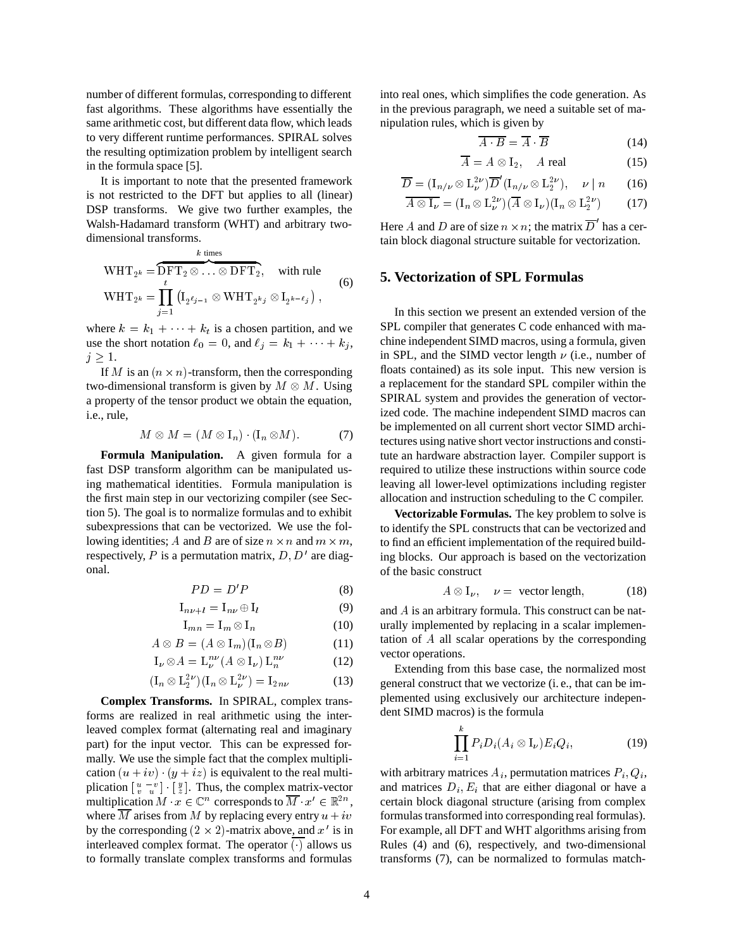number of different formulas, corresponding to different fast algorithms. These algorithms have essentially the same arithmetic cost, but different data flow, which leads to very different runtime performances. SPIRAL solves the resulting optimization problem by intelligent search in the formula space [5].

It is important to note that the presented framework is not restricted to the DFT but applies to all (linear) DSP transforms. We give two further examples, the Walsh-Hadamard transform (WHT) and arbitrary twodimensional transforms.

$$
\text{WHT}_{2^k} = \overbrace{\text{DFT}_2 \otimes \ldots \otimes \text{DFT}_2}^{k \text{ times}}, \quad \text{with rule}
$$
\n
$$
\text{WHT}_{2^k} = \prod_{j=1}^t \left( \mathbf{I}_{2^{\ell_{j-1}}} \otimes \text{WHT}_{2^{k_j}} \otimes \mathbf{I}_{2^{k-\ell_j}} \right), \tag{6}
$$

where  $k = k_1 + \cdots + k_t$  is a chosen partition, and we use the short notation  $\ell_0 = 0$ , and  $\ell_i = k_1 + \cdots + k_i$ ,  $j\geq 1$ .

If M is an  $(n \times n)$ -transform, then the corresponding two-dimensional transform is given by  $M \otimes M$ . Using a property of the tensor product we obtain the equation, i.e., rule,

$$
M \otimes M = (M \otimes I_n) \cdot (I_n \otimes M). \tag{7}
$$

**Formula Manipulation.** A given formula for a fast DSP transform algorithm can be manipulated using mathematical identities. Formula manipulation is the first main step in our vectorizing compiler (see Section 5). The goal is to normalize formulas and to exhibit subexpressions that can be vectorized. We use the following identities; A and B are of size  $n \times n$  and  $m \times m$ , respectively, P is a permutation matrix,  $D, D'$  are diagonal.

$$
PD = D'P \tag{8}
$$

$$
\mathbf{I}_{n\nu+l} = \mathbf{I}_{n\nu} \oplus \mathbf{I}_l \tag{9}
$$

$$
\mathbf{I}_{mn} = \mathbf{I}_m \otimes \mathbf{I}_n \tag{10}
$$

$$
A \otimes B = (A \otimes I_m)(I_n \otimes B) \tag{11}
$$

$$
\mathcal{I}_{\nu} \otimes A = \mathcal{L}_{\nu}^{n\nu} (A \otimes \mathcal{I}_{\nu}) \mathcal{L}_{n}^{n\nu}
$$
 (12)

$$
(\mathbf{I}_n \otimes \mathbf{L}_2^{2\nu})(\mathbf{I}_n \otimes \mathbf{L}_\nu^{2\nu}) = \mathbf{I}_{2n\nu} \tag{13}
$$

**Complex Transforms.** In SPIRAL, complex transforms are realized in real arithmetic using the interleaved complex format (alternating real and imaginary part) for the input vector. This can be expressed formally. We use the simple fact that the complex multiplication  $(u + iv)$   $(y + iz)$  is equivalent to the real multiplication  $\begin{bmatrix} u - v \\ v - u \end{bmatrix} \cdot \begin{bmatrix} y \\ z \end{bmatrix}$ . Thus, the complex matrix-vector multiplication  $M \cdot x \in \mathbb{C}^n$  corresponds to  $M \cdot x' \in \mathbb{R}^{2n}$ , cen where  $\overline{M}$  arises from M by replacing every entry  $u + iv$ by the corresponding  $(2 \times 2)$ -matrix above, and  $x'$  is in interleaved complex format. The operator  $\overline{(\cdot)}$  allows us to formally translate complex transforms and formulas

into real ones, which simplifies the code generation. As in the previous paragraph, we need a suitable set of manipulation rules, which is given by

$$
\overline{A \cdot B} = \overline{A} \cdot \overline{B} \tag{14}
$$

$$
\overline{A} = A \otimes I_2, \quad A \text{ real} \tag{15}
$$

$$
\overline{D} = (\mathbf{I}_{n/\nu} \otimes \mathbf{L}_{\nu}^{2\nu}) \overline{D}' (\mathbf{I}_{n/\nu} \otimes \mathbf{L}_{2}^{2\nu}), \quad \nu \mid n \qquad (16)
$$

$$
\overline{A \otimes I_{\nu}} = (I_n \otimes L_{\nu}^{2\nu})(\overline{A} \otimes I_{\nu})(I_n \otimes L_2^{2\nu}) \qquad (17)
$$

Here A and D are of size  $n \times n$ ; the matrix D has a certain block diagonal structure suitable for vectorization.

# **5. Vectorization of SPL Formulas**

In this section we present an extended version of the SPL compiler that generates C code enhanced with machine independent SIMD macros, using a formula, given in SPL, and the SIMD vector length  $\nu$  (i.e., number of floats contained) as its sole input. This new version is a replacement for the standard SPL compiler within the SPIRAL system and provides the generation of vectorized code. The machine independent SIMD macros can be implemented on all current short vector SIMD architectures using native short vector instructions and constitute an hardware abstraction layer. Compiler support is required to utilize these instructions within source code leaving all lower-level optimizations including register allocation and instruction scheduling to the C compiler.

**Vectorizable Formulas.** The key problem to solve is to identify the SPL constructs that can be vectorized and to find an efficient implementation of the required building blocks. Our approach is based on the vectorization of the basic construct

$$
A \otimes I_{\nu}, \quad \nu = \text{ vector length}, \tag{18}
$$

and  $A$  is an arbitrary formula. This construct can be naturally implemented by replacing in a scalar implementation of  $A$  all scalar operations by the corresponding vector operations.

Extending from this base case, the normalized most general construct that we vectorize (i. e., that can be implemented using exclusively our architecture independent SIMD macros) is the formula

$$
\prod_{i=1}^k P_i D_i (A_i \otimes I_\nu) E_i Q_i, \tag{19}
$$

with arbitrary matrices  $A_i$ , permutation matrices  $P_i, Q_i$ , and matrices  $D_i$ ,  $E_i$  that are either diagonal or have a certain block diagonal structure (arising from complex formulas transformed into corresponding real formulas). For example, all DFT and WHT algorithms arising from Rules (4) and (6), respectively, and two-dimensional transforms (7), can be normalized to formulas match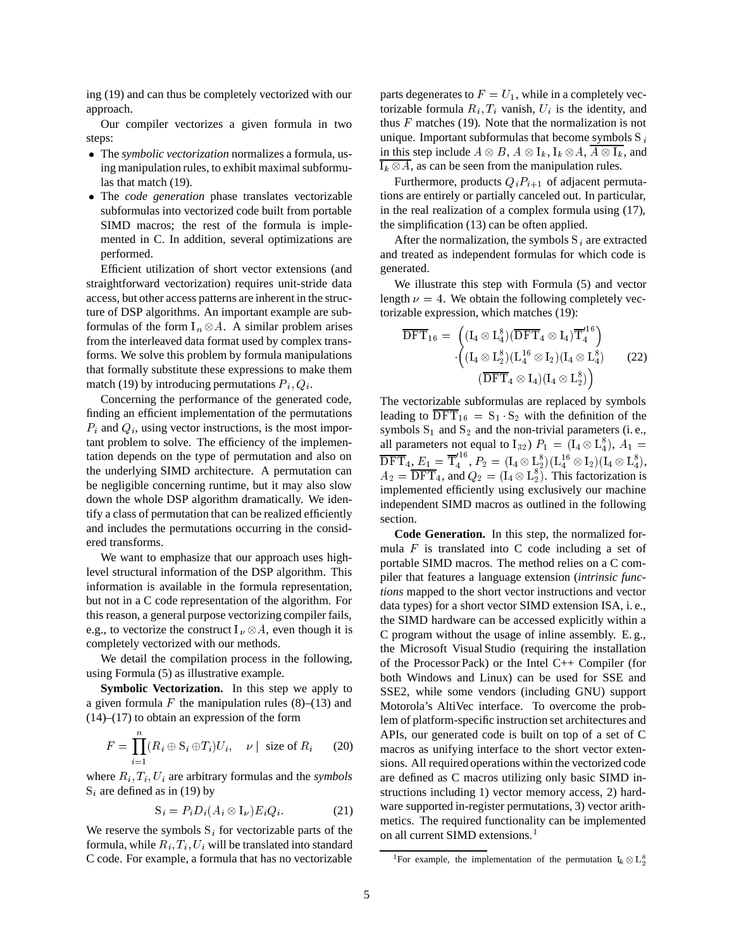ing (19) and can thus be completely vectorized with our approach.

Our compiler vectorizes a given formula in two steps:

- The *symbolic vectorization* normalizes a formula, using manipulation rules, to exhibit maximal subformulas that match (19).
- The *code generation* phase translates vectorizable subformulas into vectorized code built from portable SIMD macros; the rest of the formula is implemented in C. In addition, several optimizations are performed.

Efficient utilization of short vector extensions (and straightforward vectorization) requires unit-stride data access, but other access patterns are inherent in the structure of DSP algorithms. An important example are subformulas of the form  $I_n \otimes A$ . A similar problem arises from the interleaved data format used by complex transforms. We solve this problem by formula manipulations that formally substitute these expressions to make them match (19) by introducing permutations  $P_i, Q_i$ .

Concerning the performance of the generated code, finding an efficient implementation of the permutations  $P_i$  and  $Q_i$ , using vector instructions, is the most important problem to solve. The efficiency of the implementation depends on the type of permutation and also on the underlying SIMD architecture. A permutation can be negligible concerning runtime, but it may also slow down the whole DSP algorithm dramatically. We identify a class of permutation that can be realized efficiently and includes the permutations occurring in the considered transforms.

We want to emphasize that our approach uses highlevel structural information of the DSP algorithm. This information is available in the formula representation, but not in a C code representation of the algorithm. For this reason, a general purpose vectorizing compiler fails, e.g., to vectorize the construct  $I_{\nu} \otimes A$ , even though it is completely vectorized with our methods.

We detail the compilation process in the following, using Formula (5) as illustrative example.

**Symbolic Vectorization.** In this step we apply to a given formula  $F$  the manipulation rules (8)–(13) and (14)–(17) to obtain an expression of the form

$$
F = \prod_{i=1}^{n} (R_i \oplus S_i \oplus T_i) U_i, \quad \nu \mid \text{ size of } R_i \qquad (20)
$$

where  $R_i, T_i, U_i$  are arbitrary formulas and the *symbols*  $S_i$  are defined as in (19) by

$$
S_i = P_i D_i (A_i \otimes I_\nu) E_i Q_i.
$$
 (21)

We reserve the symbols  $S_i$  for vectorizable parts of the formula, while  $R_i, T_i, U_i$  will be translated into standard C code. For example, a formula that has no vectorizable parts degenerates to  $F = U_1$ , while in a completely vectorizable formula  $R_i, T_i$  vanish,  $U_i$  is the identity, and thus  $F$  matches (19). Note that the normalization is not unique. Important subformulas that become symbols  $S_i$ in this step include  $A \otimes B$ ,  $A \otimes I_k$ ,  $I_k \otimes A$ ,  $\overline{A \otimes I_k}$ , and  $\overline{I_k \otimes A}$ , as can be seen from the manipulation rules.

Furthermore, products  $Q_i P_{i+1}$  of adjacent permutations are entirely or partially canceled out. In particular, in the real realization of a complex formula using (17), the simplification (13) can be often applied.

After the normalization, the symbols  $S_i$  are extracted and treated as independent formulas for which code is generated.

We illustrate this step with Formula (5) and vector length  $\nu = 4$ . We obtain the following completely vectorizable expression, which matches (19):

$$
\overline{\mathrm{DFT}}_{16} = \begin{pmatrix} (\mathrm{I}_4\otimes \mathrm{L}_4^8)(\overline{\mathrm{DFT}}_4\otimes \mathrm{I}_4) \overline{\mathrm{T}}_4^{16}\\ (\mathrm{I}_4\otimes \mathrm{L}_2^8)(\mathrm{L}_4^{16}\otimes \mathrm{I}_2)(\mathrm{I}_4\otimes \mathrm{L}_4^8) \\ (\overline{\mathrm{DFT}}_4\otimes \mathrm{I}_4)(\mathrm{I}_4\otimes \mathrm{L}_2^8) \end{pmatrix} \qquad (22)
$$

The vectorizable subformulas are replaced by symbols leading to  $DFT_{16} = S_1 \cdot S_2$  with the definition of the symbols  $S_1$  and  $S_2$  and the non-trivial parameters (i.e., all parameters not equal to  $I_{32}$ )  $P_1 = (I_4 \otimes L_4^8), A_1 =$  $\text{DFT}_4, E_1 = \text{T}_4^{\text{1D}}, P_2 = \text{T}_4$  $\Gamma_4^{^{110}}, P_2 = ({\rm I}_4\otimes {\rm L}_2^8)({\rm L}_4^{^{110}\otimes {\rm I}_2)({\rm I}_4\otimes {\rm L}_4^8),$  $A_2 = \text{DFT}_4$ , and  $Q_2 = (I_4 \otimes L_2^8)$ . This factorization is implemented efficiently using exclusively our machine independent SIMD macros as outlined in the following section.

**Code Generation.** In this step, the normalized formula  $F$  is translated into C code including a set of portable SIMD macros. The method relies on a C compiler that features a language extension (*intrinsic functions* mapped to the short vector instructions and vector data types) for a short vector SIMD extension ISA, i. e., the SIMD hardware can be accessed explicitly within a C program without the usage of inline assembly. E. g., the Microsoft Visual Studio (requiring the installation of the Processor Pack) or the Intel C++ Compiler (for both Windows and Linux) can be used for SSE and SSE2, while some vendors (including GNU) support Motorola's AltiVec interface. To overcome the problem of platform-specific instruction set architectures and APIs, our generated code is built on top of a set of C macros as unifying interface to the short vector extensions. All required operations within the vectorized code are defined as C macros utilizing only basic SIMD instructions including 1) vector memory access, 2) hardware supported in-register permutations, 3) vector arithmetics. The required functionality can be implemented on all current SIMD extensions.<sup>1</sup>

<sup>&</sup>lt;sup>1</sup>For example, the implementation of the permutation  $I_k \otimes L_2^8$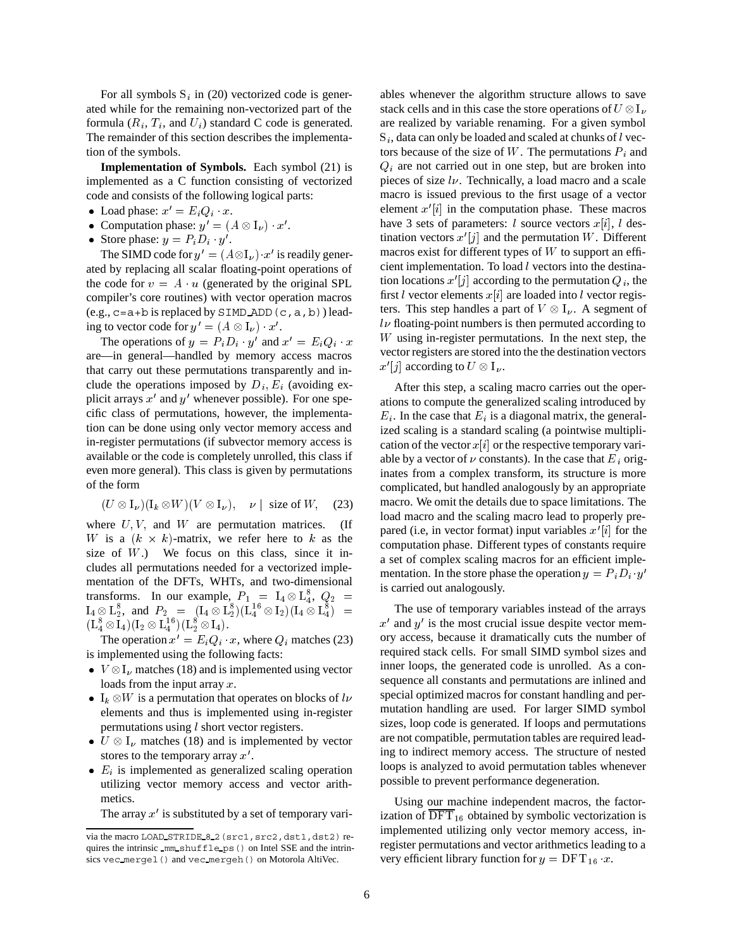For all symbols  $S_i$  in (20) vectorized code is generated while for the remaining non-vectorized part of the formula  $(R_i, T_i,$  and  $U_i$ ) standard C code is generated. The remainder of this section describes the implementation of the symbols.

**Implementation of Symbols.** Each symbol (21) is implemented as a C function consisting of vectorized code and consists of the following logical parts:

- Load phase:  $x' = E_i Q_i \cdot x$ .
- Computation phase:  $y' = (A \otimes I_{\nu}) \cdot x'.$
- Store phase:  $y = P_i D_i \cdot y'$ .

The SIMD code for  $y' = (A \otimes I_{\nu}) \cdot x'$  is readily generated by replacing all scalar floating-point operations of the code for  $v = A \cdot u$  (generated by the original SPL compiler's core routines) with vector operation macros  $(e.g., c=a+b \text{ is replaced by SIMD ADD}(c,a,b))$  leading to vector code for  $y' = (A \otimes I_{\nu}) \cdot x'.$ 

The operations of  $y = P_i D_i \cdot y'$  and  $x' = E_i Q_i \cdot x$ are—in general—handled by memory access macros that carry out these permutations transparently and include the operations imposed by  $D_i$ ,  $E_i$  (avoiding explicit arrays  $x'$  and  $y'$  whenever possible). For one specific class of permutations, however, the implementation can be done using only vector memory access and in-register permutations (if subvector memory access is available or the code is completely unrolled, this class if even more general). This class is given by permutations of the form

$$
(U \otimes I_{\nu})(I_k \otimes W)(V \otimes I_{\nu}), \quad \nu \mid \text{ size of } W, \quad (23)
$$

where  $U, V$ , and  $W$  are permutation matrices. (If W is a  $(k \times k)$ -matrix, we refer here to k as the size of  $W$ .) We focus on this class, since it includes all permutations needed for a vectorized implementation of the DFTs, WHTs, and two-dimensional transforms. In our example,  $P_1 = I_4 \otimes L_4^8$ ,  $Q_2 =$  $I_4 \otimes L_2^8$ , and  $P_2 = (I_4 \otimes L_2^8)(L_4^{16} \otimes I_2)(I_4 \otimes L_4^8) =$  The u  $(\mathrm{L}^8_4\otimes\mathrm{I}_4)(\mathrm{I}_2\otimes\mathrm{L}^{16}_4)(\mathrm{L}^8_2\otimes\mathrm{I}_4).$ 

The operation  $x' = E_i Q_i \cdot x$ , where  $Q_i$  matches (23) is implemented using the following facts:

- $V \otimes I_{\nu}$  matches (18) and is implemented using vector loads from the input array  $x$ .
- $I_k \otimes W$  is a permutation that operates on blocks of lv elements and thus is implemented using in-register permutations using ! short vector registers.
- $U \otimes I_{\nu}$  matches (18) and is implemented by vector stores to the temporary array  $x'$ .
- $\bullet$   $E_i$  is implemented as generalized scaling operation utilizing vector memory access and vector arithmetics.

The array  $x'$  is substituted by a set of temporary vari-

 vector registers are stored into the the destination vectors ables whenever the algorithm structure allows to save stack cells and in this case the store operations of  $U \otimes I_{\nu}$ are realized by variable renaming. For a given symbol  $S_i$ , data can only be loaded and scaled at chunks of l vectors because of the size of W. The permutations  $P_i$  and  $Q_i$  are not carried out in one step, but are broken into pieces of size  $l\nu$ . Technically, a load macro and a scale macro is issued previous to the first usage of a vector element  $x'[i]$  in the computation phase. These macros have 3 sets of parameters: *l* source vectors  $x[i]$ , *l* destination vectors  $x'[j]$  and the permutation W. Different macros exist for different types of  $W$  to support an efficient implementation. To load  $l$  vectors into the destination locations  $x'[j]$  according to the permutation  $Q_i$ , the first l vector elements  $x[i]$  are loaded into l vector registers. This step handles a part of  $V \otimes I_{\nu}$ . A segment of  $$  $W$  using in-register permutations. In the next step, the  $x'[j]$  according to  $U \otimes I_{\nu}$ .

After this step, a scaling macro carries out the operations to compute the generalized scaling introduced by  $E_i$ . In the case that  $E_i$  is a diagonal matrix, the generalized scaling is a standard scaling (a pointwise multiplication of the vector  $x[i]$  or the respective temporary variable by a vector of  $\nu$  constants). In the case that  $E_i$  originates from a complex transform, its structure is more complicated, but handled analogously by an appropriate macro. We omit the details due to space limitations. The load macro and the scaling macro lead to properly prepared (i.e, in vector format) input variables  $x'[i]$  for the computation phase. Different types of constants require a set of complex scaling macros for an efficient implementation. In the store phase the operation  $y = P_i D_i \cdot y'$ is carried out analogously.

The use of temporary variables instead of the arrays  $x'$  and  $y'$  is the most crucial issue despite vector memory access, because it dramatically cuts the number of required stack cells. For small SIMD symbol sizes and inner loops, the generated code is unrolled. As a consequence all constants and permutations are inlined and special optimized macros for constant handling and permutation handling are used. For larger SIMD symbol sizes, loop code is generated. If loops and permutations are not compatible, permutation tables are required leading to indirect memory access. The structure of nested loops is analyzed to avoid permutation tables whenever possible to prevent performance degeneration.

Using our machine independent macros, the factorization of  $\mathrm{DFT}_{16}$  obtained by symbolic vectorization is implemented utilizing only vector memory access, inregister permutations and vector arithmetics leading to a very efficient library function for  $y = DFT_{16} x$ .

via the macro LOAD\_STRIDE\_8\_2 (src1, src2, dst1, dst2) requires the intrinsic mm shuffle ps() on Intel SSE and the intrinsics vec mergel() and vec mergeh() on Motorola AltiVec.